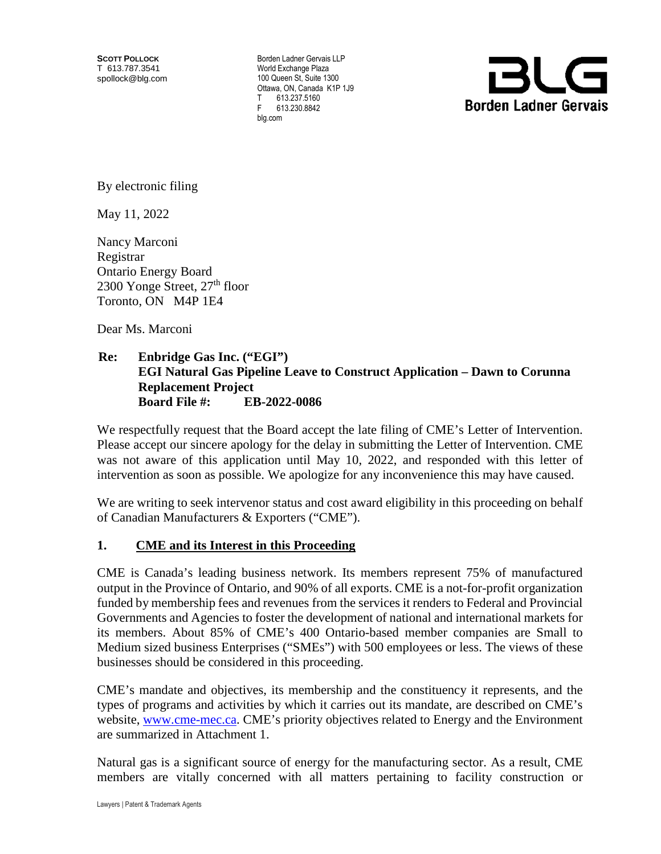**SCOTT POLLOCK** T 613.787.3541 spollock@blg.com

Borden Ladner Gervais LLP World Exchange Plaza 100 Queen St, Suite 1300 Ottawa, ON, Canada K1P 1J9  $T = 613.237.5160$ F 613.230.8842 blg.com



By electronic filing

May 11, 2022

Nancy Marconi Registrar Ontario Energy Board 2300 Yonge Street,  $27<sup>th</sup>$  floor Toronto, ON M4P 1E4

Dear Ms. Marconi

#### **Re: Enbridge Gas Inc. ("EGI") EGI Natural Gas Pipeline Leave to Construct Application – Dawn to Corunna Replacement Project Board File #: EB-2022-0086**

We respectfully request that the Board accept the late filing of CME's Letter of Intervention. Please accept our sincere apology for the delay in submitting the Letter of Intervention. CME was not aware of this application until May 10, 2022, and responded with this letter of intervention as soon as possible. We apologize for any inconvenience this may have caused.

We are writing to seek intervenor status and cost award eligibility in this proceeding on behalf of Canadian Manufacturers & Exporters ("CME").

#### **1. CME and its Interest in this Proceeding**

CME is Canada's leading business network. Its members represent 75% of manufactured output in the Province of Ontario, and 90% of all exports. CME is a not-for-profit organization funded by membership fees and revenues from the services it renders to Federal and Provincial Governments and Agencies to foster the development of national and international markets for its members. About 85% of CME's 400 Ontario-based member companies are Small to Medium sized business Enterprises ("SMEs") with 500 employees or less. The views of these businesses should be considered in this proceeding.

CME's mandate and objectives, its membership and the constituency it represents, and the types of programs and activities by which it carries out its mandate, are described on CME's website, [www.cme-mec.ca.](http://www.cme-mec.ca/) CME's priority objectives related to Energy and the Environment are summarized in Attachment 1.

Natural gas is a significant source of energy for the manufacturing sector. As a result, CME members are vitally concerned with all matters pertaining to facility construction or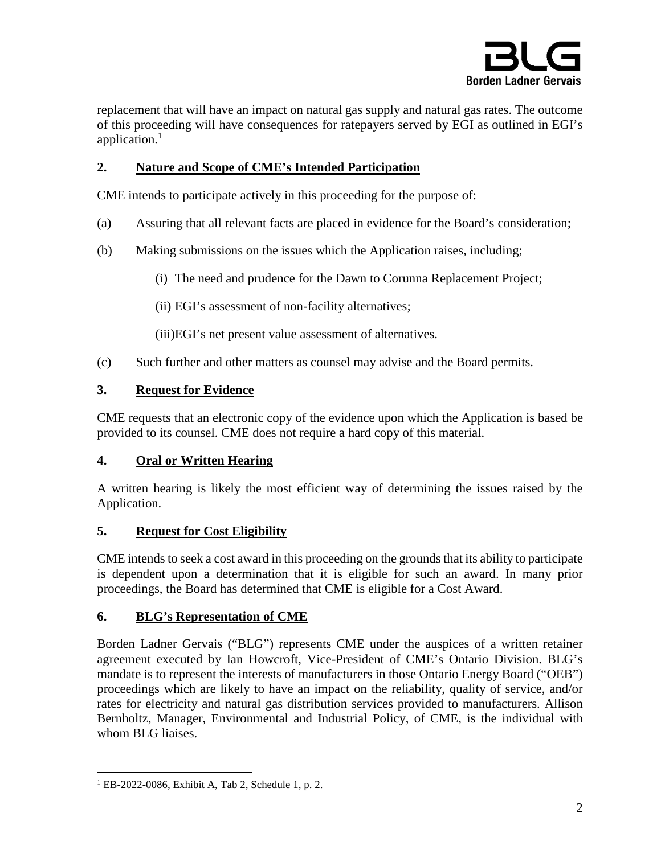

replacement that will have an impact on natural gas supply and natural gas rates. The outcome of this proceeding will have consequences for ratepayers served by EGI as outlined in EGI's application. $1$ 

## **2. Nature and Scope of CME's Intended Participation**

CME intends to participate actively in this proceeding for the purpose of:

- (a) Assuring that all relevant facts are placed in evidence for the Board's consideration;
- (b) Making submissions on the issues which the Application raises, including;
	- (i) The need and prudence for the Dawn to Corunna Replacement Project;
	- (ii) EGI's assessment of non-facility alternatives;

(iii)EGI's net present value assessment of alternatives.

(c) Such further and other matters as counsel may advise and the Board permits.

## **3. Request for Evidence**

CME requests that an electronic copy of the evidence upon which the Application is based be provided to its counsel. CME does not require a hard copy of this material.

### **4. Oral or Written Hearing**

A written hearing is likely the most efficient way of determining the issues raised by the Application.

# **5. Request for Cost Eligibility**

CME intends to seek a cost award in this proceeding on the grounds that its ability to participate is dependent upon a determination that it is eligible for such an award. In many prior proceedings, the Board has determined that CME is eligible for a Cost Award.

# **6. BLG's Representation of CME**

Borden Ladner Gervais ("BLG") represents CME under the auspices of a written retainer agreement executed by Ian Howcroft, Vice-President of CME's Ontario Division. BLG's mandate is to represent the interests of manufacturers in those Ontario Energy Board ("OEB") proceedings which are likely to have an impact on the reliability, quality of service, and/or rates for electricity and natural gas distribution services provided to manufacturers. Allison Bernholtz, Manager, Environmental and Industrial Policy, of CME, is the individual with whom BLG liaises.

 $\overline{a}$ 

<sup>1</sup> EB-2022-0086, Exhibit A, Tab 2, Schedule 1, p. 2.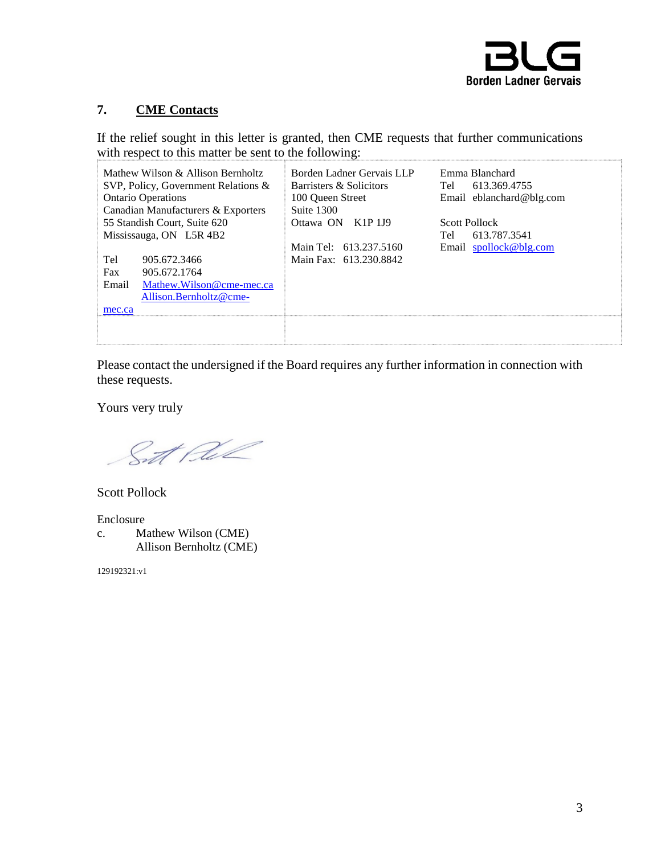

# **7. CME Contacts**

If the relief sought in this letter is granted, then CME requests that further communications with respect to this matter be sent to the following:

| Mathew Wilson $\&$ Allison Bernholtz   | Borden Ladner Gervais LLP | Emma Blanchard           |
|----------------------------------------|---------------------------|--------------------------|
| SVP, Policy, Government Relations $\&$ | Barristers & Solicitors   | 613.369.4755<br>Tel      |
| <b>Ontario Operations</b>              | 100 Oueen Street          | Email eblanchard@blg.com |
| Canadian Manufacturers & Exporters     | Suite 1300                |                          |
| 55 Standish Court, Suite 620           | Ottawa ON K1P 1J9         | <b>Scott Pollock</b>     |
| Mississauga, ON L5R 4B2                |                           | 613.787.3541<br>Tel      |
|                                        | Main Tel: 613.237.5160    | Email spollock@blg.com   |
| Tel<br>905.672.3466                    | Main Fax: 613.230.8842    |                          |
| Fax<br>905.672.1764                    |                           |                          |
| Mathew.Wilson@cme-mec.ca<br>Email      |                           |                          |
| Allison.Bernholtz@cme-                 |                           |                          |
| mec.ca                                 |                           |                          |
|                                        |                           |                          |
|                                        |                           |                          |

Please contact the undersigned if the Board requires any further information in connection with these requests.

Yours very truly

St Rel

Scott Pollock

Enclosure c. Mathew Wilson (CME) Allison Bernholtz (CME)

129192321:v1